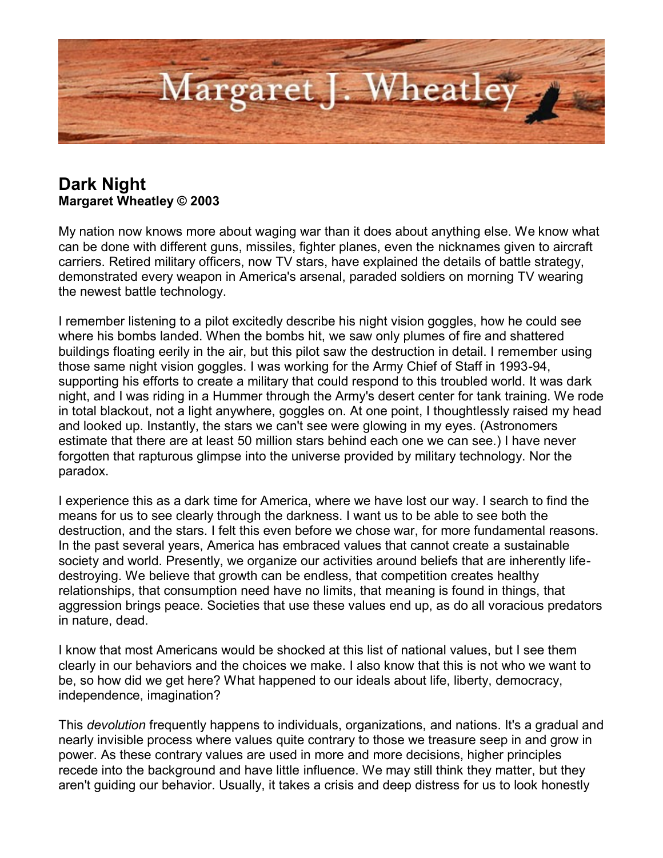

## **Dark Night Margaret Wheatley © 2003**

My nation now knows more about waging war than it does about anything else. We know what can be done with different guns, missiles, fighter planes, even the nicknames given to aircraft carriers. Retired military officers, now TV stars, have explained the details of battle strategy, demonstrated every weapon in America's arsenal, paraded soldiers on morning TV wearing the newest battle technology.

I remember listening to a pilot excitedly describe his night vision goggles, how he could see where his bombs landed. When the bombs hit, we saw only plumes of fire and shattered buildings floating eerily in the air, but this pilot saw the destruction in detail. I remember using those same night vision goggles. I was working for the Army Chief of Staff in 1993-94, supporting his efforts to create a military that could respond to this troubled world. It was dark night, and I was riding in a Hummer through the Army's desert center for tank training. We rode in total blackout, not a light anywhere, goggles on. At one point, I thoughtlessly raised my head and looked up. Instantly, the stars we can't see were glowing in my eyes. (Astronomers estimate that there are at least 50 million stars behind each one we can see.) I have never forgotten that rapturous glimpse into the universe provided by military technology. Nor the paradox.

I experience this as a dark time for America, where we have lost our way. I search to find the means for us to see clearly through the darkness. I want us to be able to see both the destruction, and the stars. I felt this even before we chose war, for more fundamental reasons. In the past several years, America has embraced values that cannot create a sustainable society and world. Presently, we organize our activities around beliefs that are inherently lifedestroying. We believe that growth can be endless, that competition creates healthy relationships, that consumption need have no limits, that meaning is found in things, that aggression brings peace. Societies that use these values end up, as do all voracious predators in nature, dead.

I know that most Americans would be shocked at this list of national values, but I see them clearly in our behaviors and the choices we make. I also know that this is not who we want to be, so how did we get here? What happened to our ideals about life, liberty, democracy, independence, imagination?

This *devolution* frequently happens to individuals, organizations, and nations. It's a gradual and nearly invisible process where values quite contrary to those we treasure seep in and grow in power. As these contrary values are used in more and more decisions, higher principles recede into the background and have little influence. We may still think they matter, but they aren't guiding our behavior. Usually, it takes a crisis and deep distress for us to look honestly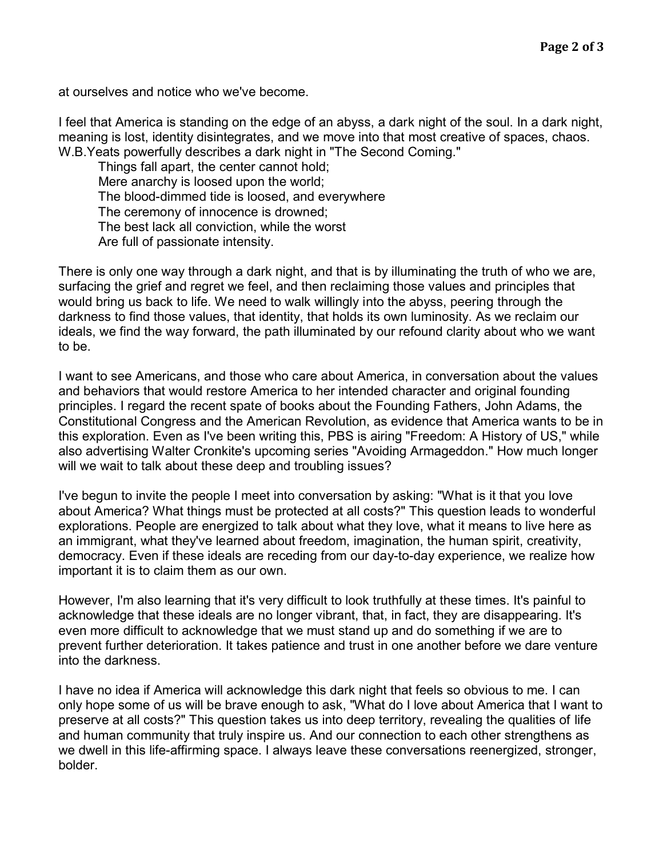at ourselves and notice who we've become.

I feel that America is standing on the edge of an abyss, a dark night of the soul. In a dark night, meaning is lost, identity disintegrates, and we move into that most creative of spaces, chaos. W.B.Yeats powerfully describes a dark night in "The Second Coming."

 Things fall apart, the center cannot hold; Mere anarchy is loosed upon the world; The blood-dimmed tide is loosed, and everywhere The ceremony of innocence is drowned; The best lack all conviction, while the worst Are full of passionate intensity.

There is only one way through a dark night, and that is by illuminating the truth of who we are, surfacing the grief and regret we feel, and then reclaiming those values and principles that would bring us back to life. We need to walk willingly into the abyss, peering through the darkness to find those values, that identity, that holds its own luminosity. As we reclaim our ideals, we find the way forward, the path illuminated by our refound clarity about who we want to be.

I want to see Americans, and those who care about America, in conversation about the values and behaviors that would restore America to her intended character and original founding principles. I regard the recent spate of books about the Founding Fathers, John Adams, the Constitutional Congress and the American Revolution, as evidence that America wants to be in this exploration. Even as I've been writing this, PBS is airing "Freedom: A History of US," while also advertising Walter Cronkite's upcoming series "Avoiding Armageddon." How much longer will we wait to talk about these deep and troubling issues?

I've begun to invite the people I meet into conversation by asking: "What is it that you love about America? What things must be protected at all costs?" This question leads to wonderful explorations. People are energized to talk about what they love, what it means to live here as an immigrant, what they've learned about freedom, imagination, the human spirit, creativity, democracy. Even if these ideals are receding from our day-to-day experience, we realize how important it is to claim them as our own.

However, I'm also learning that it's very difficult to look truthfully at these times. It's painful to acknowledge that these ideals are no longer vibrant, that, in fact, they are disappearing. It's even more difficult to acknowledge that we must stand up and do something if we are to prevent further deterioration. It takes patience and trust in one another before we dare venture into the darkness.

I have no idea if America will acknowledge this dark night that feels so obvious to me. I can only hope some of us will be brave enough to ask, "What do I love about America that I want to preserve at all costs?" This question takes us into deep territory, revealing the qualities of life and human community that truly inspire us. And our connection to each other strengthens as we dwell in this life-affirming space. I always leave these conversations reenergized, stronger, bolder.